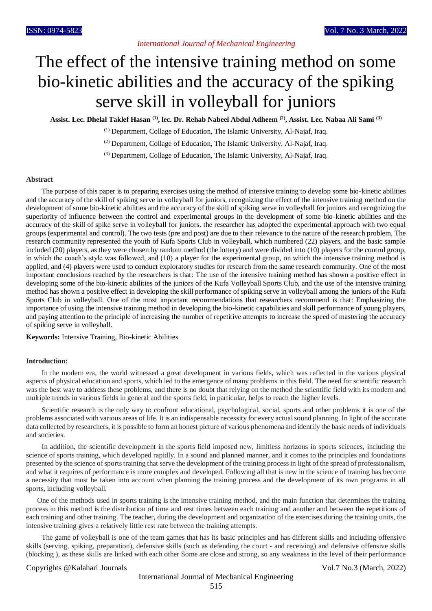# The effect of the intensive training method on some bio-kinetic abilities and the accuracy of the spiking serve skill in volleyball for juniors

**Assist. Lec. Dhelal Taklef Hasan (1), lec. Dr. Rehab Nabeel Abdul Adheem (2) , Assist. Lec. Nabaa Ali Sami (3)**

(1) Department, Collage of Education, The Islamic University, Al-Najaf, Iraq.

(2) Department, Collage of Education, The Islamic University, Al-Najaf, Iraq.

(3) Department, Collage of Education, The Islamic University, Al-Najaf, Iraq.

#### **Abstract**

The purpose of this paper is to preparing exercises using the method of intensive training to develop some bio-kinetic abilities and the accuracy of the skill of spiking serve in volleyball for juniors, recognizing the effect of the intensive training method on the development of some bio-kinetic abilities and the accuracy of the skill of spiking serve in volleyball for juniors and recognizing the superiority of influence between the control and experimental groups in the development of some bio-kinetic abilities and the accuracy of the skill of spike serve in volleyball for juniors. the researcher has adopted the experimental approach with two equal groups (experimental and control). The two tests (pre and post) are due to their relevance to the nature of the research problem. The research community represented the youth of Kufa Sports Club in volleyball, which numbered (22) players, and the basic sample included (20) players, as they were chosen by random method (the lottery) and were divided into (10) players for the control group, in which the coach's style was followed, and (10) a player for the experimental group, on which the intensive training method is applied, and (4) players were used to conduct exploratory studies for research from the same research community. One of the most important conclusions reached by the researchers is that: The use of the intensive training method has shown a positive effect in developing some of the bio-kinetic abilities of the juniors of the Kufa Volleyball Sports Club, and the use of the intensive training method has shown a positive effect in developing the skill performance of spiking serve in volleyball among the juniors of the Kufa Sports Club in volleyball. One of the most important recommendations that researchers recommend is that: Emphasizing the importance of using the intensive training method in developing the bio-kinetic capabilities and skill performance of young players, and paying attention to the principle of increasing the number of repetitive attempts to increase the speed of mastering the accuracy of spiking serve in volleyball.

**Keywords:** Intensive Training, Bio-kinetic Abilities

## **Introduction:**

In the modern era, the world witnessed a great development in various fields, which was reflected in the various physical aspects of physical education and sports, which led to the emergence of many problems in this field. The need for scientific research was the best way to address these problems, and there is no doubt that relying on the method the scientific field with its modern and multiple trends in various fields in general and the sports field, in particular, helps to reach the higher levels.

Scientific research is the only way to confront educational, psychological, social, sports and other problems it is one of the problems associated with various areas of life. It is an indispensable necessity for every actual sound planning. In light of the accurate data collected by researchers, it is possible to form an honest picture of various phenomena and identify the basic needs of individuals and societies.

In addition, the scientific development in the sports field imposed new, limitless horizons in sports sciences, including the science of sports training, which developed rapidly. In a sound and planned manner, and it comes to the principles and foundations presented by the science of sports training that serve the development of the training process in light of the spread of professionalism, and what it requires of performance is more complex and developed. Following all that is new in the science of training has become a necessity that must be taken into account when planning the training process and the development of its own programs in all sports, including volleyball.

 One of the methods used in sports training is the intensive training method, and the main function that determines the training process in this method is the distribution of time and rest times between each training and another and between the repetitions of each training and other training. The teacher, during the development and organization of the exercises during the training units, the intensive training gives a relatively little rest rate between the training attempts.

The game of volleyball is one of the team games that has its basic principles and has different skills and including offensive skills (serving, spiking, preparation), defensive skills (such as defending the court - and receiving) and defensive offensive skills (blocking ), as these skills are linked with each other Some are close and strong, so any weakness in the level of their performance

#### Copyrights @Kalahari Journals Vol.7 No.3 (March, 2022)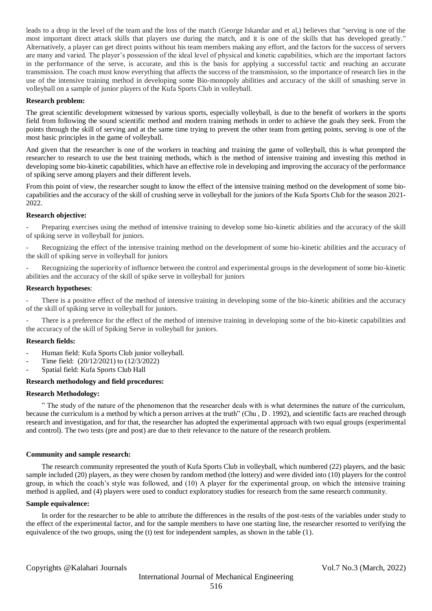leads to a drop in the level of the team and the loss of the match (George Iskandar and et al,) believes that "serving is one of the most important direct attack skills that players use during the match, and it is one of the skills that has developed greatly." Alternatively, a player can get direct points without his team members making any effort, and the factors for the success of servers are many and varied. The player's possession of the ideal level of physical and kinetic capabilities, which are the important factors in the performance of the serve, is accurate, and this is the basis for applying a successful tactic and reaching an accurate transmission. The coach must know everything that affects the success of the transmission, so the importance of research lies in the use of the intensive training method in developing some Bio-monopoly abilities and accuracy of the skill of smashing serve in volleyball on a sample of junior players of the Kufa Sports Club in volleyball.

## **Research problem:**

The great scientific development witnessed by various sports, especially volleyball, is due to the benefit of workers in the sports field from following the sound scientific method and modern training methods in order to achieve the goals they seek. From the points through the skill of serving and at the same time trying to prevent the other team from getting points, serving is one of the most basic principles in the game of volleyball.

And given that the researcher is one of the workers in teaching and training the game of volleyball, this is what prompted the researcher to research to use the best training methods, which is the method of intensive training and investing this method in developing some bio-kinetic capabilities, which have an effective role in developing and improving the accuracy of the performance of spiking serve among players and their different levels.

From this point of view, the researcher sought to know the effect of the intensive training method on the development of some biocapabilities and the accuracy of the skill of crushing serve in volleyball for the juniors of the Kufa Sports Club for the season 2021- 2022.

#### **Research objective:**

- Preparing exercises using the method of intensive training to develop some bio-kinetic abilities and the accuracy of the skill of spiking serve in volleyball for juniors.

Recognizing the effect of the intensive training method on the development of some bio-kinetic abilities and the accuracy of the skill of spiking serve in volleyball for juniors

Recognizing the superiority of influence between the control and experimental groups in the development of some bio-kinetic abilities and the accuracy of the skill of spike serve in volleyball for juniors

#### **Research hypotheses**:

There is a positive effect of the method of intensive training in developing some of the bio-kinetic abilities and the accuracy of the skill of spiking serve in volleyball for juniors.

There is a preference for the effect of the method of intensive training in developing some of the bio-kinetic capabilities and the accuracy of the skill of Spiking Serve in volleyball for juniors.

#### **Research fields:**

- Human field: Kufa Sports Club junior volleyball.
- Time field: (20/12/2021) to (12/3/2022)
- Spatial field: Kufa Sports Club Hall

#### **Research methodology and field procedures:**

#### **Research Methodology:**

" The study of the nature of the phenomenon that the researcher deals with is what determines the nature of the curriculum, because the curriculum is a method by which a person arrives at the truth" (Chu, D. 1992), and scientific facts are reached through research and investigation, and for that, the researcher has adopted the experimental approach with two equal groups (experimental and control). The two tests (pre and post) are due to their relevance to the nature of the research problem.

#### **Community and sample research:**

The research community represented the youth of Kufa Sports Club in volleyball, which numbered (22) players, and the basic sample included (20) players, as they were chosen by random method (the lottery) and were divided into (10) players for the control group, in which the coach's style was followed, and (10) A player for the experimental group, on which the intensive training method is applied, and (4) players were used to conduct exploratory studies for research from the same research community.

#### **Sample equivalence:**

In order for the researcher to be able to attribute the differences in the results of the post-tests of the variables under study to the effect of the experimental factor, and for the sample members to have one starting line, the researcher resorted to verifying the equivalence of the two groups, using the (t) test for independent samples, as shown in the table (1).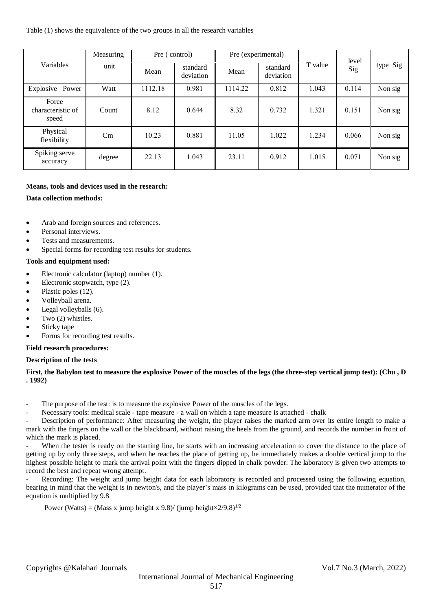Table (1) shows the equivalence of the two groups in all the research variables

| Variables                           | Measuring | Pre (control) |                       | Pre (experimental) |                       |         | level |          |
|-------------------------------------|-----------|---------------|-----------------------|--------------------|-----------------------|---------|-------|----------|
|                                     | unit      | Mean          | standard<br>deviation | Mean               | standard<br>deviation | T value | Sig   | type Sig |
| Explosive Power                     | Watt      | 1112.18       | 0.981                 | 1114.22            | 0.812                 | 1.043   | 0.114 | Non sig  |
| Force<br>characteristic of<br>speed | Count     | 8.12          | 0.644                 | 8.32               | 0.732                 | 1.321   | 0.151 | Non sig  |
| Physical<br>flexibility             | Cm        | 10.23         | 0.881                 | 11.05              | 1.022                 | 1.234   | 0.066 | Non sig  |
| Spiking serve<br>accuracy           | degree    | 22.13         | 1.043                 | 23.11              | 0.912                 | 1.015   | 0.071 | Non sig  |

# **Means, tools and devices used in the research:**

# **Data collection methods:**

- Arab and foreign sources and references.
- Personal interviews.
- Tests and measurements.
- Special forms for recording test results for students.

## **Tools and equipment used:**

- Electronic calculator (laptop) number (1).
- Electronic stopwatch, type (2).
- Plastic poles (12).
- Volleyball arena.
- Legal volleyballs (6).
- Two (2) whistles.
- Sticky tape
- Forms for recording test results.

# **Field research procedures:**

# **Description of the tests**

# **First, the Babylon test to measure the explosive Power of the muscles of the legs (the three-step vertical jump test): (Chu , D . 1992)**

- The purpose of the test: is to measure the explosive Power of the muscles of the legs.
- Necessary tools: medical scale tape measure a wall on which a tape measure is attached chalk

Description of performance: After measuring the weight, the player raises the marked arm over its entire length to make a mark with the fingers on the wall or the blackboard, without raising the heels from the ground, and records the number in front of which the mark is placed.

When the tester is ready on the starting line, he starts with an increasing acceleration to cover the distance to the place of getting up by only three steps, and when he reaches the place of getting up, he immediately makes a double vertical jump to the highest possible height to mark the arrival point with the fingers dipped in chalk powder. The laboratory is given two attempts to record the best and repeat wrong attempt.

Recording: The weight and jump height data for each laboratory is recorded and processed using the following equation, bearing in mind that the weight is in newton's, and the player's mass in kilograms can be used, provided that the numerator of the equation is multiplied by 9.8

Power (Watts) = (Mass x jump height x 9.8)/ (jump height $\times$ 2/9.8)<sup>1/2</sup>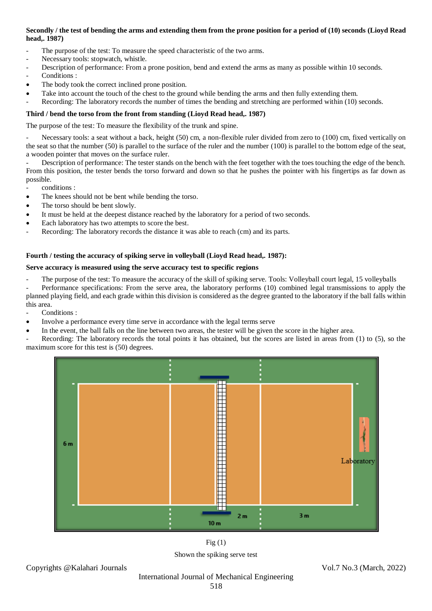# **Secondly / the test of bending the arms and extending them from the prone position for a period of (10) seconds (Lioyd Read head,. 1987)**

- The purpose of the test: To measure the speed characteristic of the two arms.
- Necessary tools: stopwatch, whistle.
- Description of performance: From a prone position, bend and extend the arms as many as possible within 10 seconds.
- Conditions :
- The body took the correct inclined prone position.
- Take into account the touch of the chest to the ground while bending the arms and then fully extending them.
- Recording: The laboratory records the number of times the bending and stretching are performed within (10) seconds.

# **Third / bend the torso from the front from standing (Lioyd Read head,. 1987)**

The purpose of the test: To measure the flexibility of the trunk and spine.

Necessary tools: a seat without a back, height (50) cm, a non-flexible ruler divided from zero to (100) cm, fixed vertically on the seat so that the number (50) is parallel to the surface of the ruler and the number (100) is parallel to the bottom edge of the seat, a wooden pointer that moves on the surface ruler.

Description of performance: The tester stands on the bench with the feet together with the toes touching the edge of the bench. From this position, the tester bends the torso forward and down so that he pushes the pointer with his fingertips as far down as possible.

- conditions :
- The knees should not be bent while bending the torso.
- The torso should be bent slowly.
- It must be held at the deepest distance reached by the laboratory for a period of two seconds.
- Each laboratory has two attempts to score the best.
- Recording: The laboratory records the distance it was able to reach (cm) and its parts.

# **Fourth / testing the accuracy of spiking serve in volleyball (Lioyd Read head,. 1987):**

# **Serve accuracy is measured using the serve accuracy test to specific regions**

The purpose of the test: To measure the accuracy of the skill of spiking serve. Tools: Volleyball court legal, 15 volleyballs

Performance specifications: From the serve area, the laboratory performs (10) combined legal transmissions to apply the planned playing field, and each grade within this division is considered as the degree granted to the laboratory if the ball falls within this area.

Conditions :

- Involve a performance every time serve in accordance with the legal terms serve
- In the event, the ball falls on the line between two areas, the tester will be given the score in the higher area.

Recording: The laboratory records the total points it has obtained, but the scores are listed in areas from (1) to (5), so the maximum score for this test is (50) degrees.



 $Fig<sub>(1)</sub>$ Shown the spiking serve test

Copyrights @Kalahari Journals Vol.7 No.3 (March, 2022)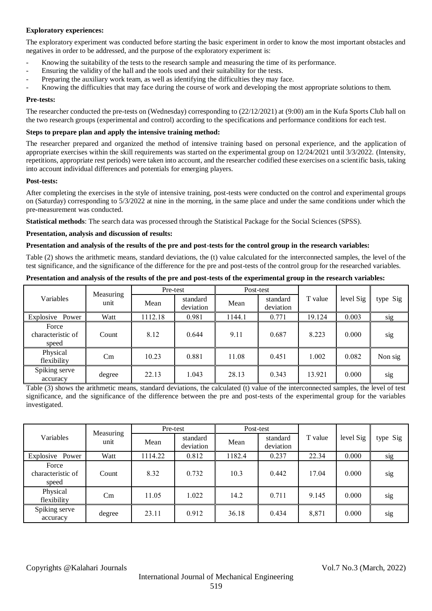# **Exploratory experiences:**

The exploratory experiment was conducted before starting the basic experiment in order to know the most important obstacles and negatives in order to be addressed, and the purpose of the exploratory experiment is:

- Knowing the suitability of the tests to the research sample and measuring the time of its performance.
- Ensuring the validity of the hall and the tools used and their suitability for the tests.
- Preparing the auxiliary work team, as well as identifying the difficulties they may face.
- Knowing the difficulties that may face during the course of work and developing the most appropriate solutions to them.

## **Pre-tests:**

The researcher conducted the pre-tests on (Wednesday) corresponding to (22/12/2021) at (9:00) am in the Kufa Sports Club hall on the two research groups (experimental and control) according to the specifications and performance conditions for each test.

## **Steps to prepare plan and apply the intensive training method:**

The researcher prepared and organized the method of intensive training based on personal experience, and the application of appropriate exercises within the skill requirements was started on the experimental group on 12/24/2021 until 3/3/2022. (Intensity, repetitions, appropriate rest periods) were taken into account, and the researcher codified these exercises on a scientific basis, taking into account individual differences and potentials for emerging players.

## **Post-tests:**

After completing the exercises in the style of intensive training, post-tests were conducted on the control and experimental groups on (Saturday) corresponding to 5/3/2022 at nine in the morning, in the same place and under the same conditions under which the pre-measurement was conducted.

**Statistical methods**: The search data was processed through the Statistical Package for the Social Sciences (SPSS).

## **Presentation, analysis and discussion of results:**

## **Presentation and analysis of the results of the pre and post-tests for the control group in the research variables:**

Table (2) shows the arithmetic means, standard deviations, the (t) value calculated for the interconnected samples, the level of the test significance, and the significance of the difference for the pre and post-tests of the control group for the researched variables.

| Variables                           | Measuring<br>unit | Pre-test |                       | Post-test |                       |         |           |          |
|-------------------------------------|-------------------|----------|-----------------------|-----------|-----------------------|---------|-----------|----------|
|                                     |                   | Mean     | standard<br>deviation | Mean      | standard<br>deviation | T value | level Sig | type Sig |
| Explosive Power                     | Watt              | 1112.18  | 0.981                 | 1144.1    | 0.771                 | 19.124  | 0.003     | sig      |
| Force<br>characteristic of<br>speed | Count             | 8.12     | 0.644                 | 9.11      | 0.687                 | 8.223   | 0.000     | sig      |
| Physical<br>flexibility             | Cm                | 10.23    | 0.881                 | 11.08     | 0.451                 | 1.002   | 0.082     | Non sig  |
| Spiking serve<br>accuracy           | degree            | 22.13    | 1.043                 | 28.13     | 0.343                 | 13.921  | 0.000     | sig      |

**Presentation and analysis of the results of the pre and post-tests of the experimental group in the research variables:** 

Table (3) shows the arithmetic means, standard deviations, the calculated (t) value of the interconnected samples, the level of test significance, and the significance of the difference between the pre and post-tests of the experimental group for the variables investigated.

| Variables                           | Measuring<br>unit | Pre-test |                       | Post-test |                       |         |           |          |
|-------------------------------------|-------------------|----------|-----------------------|-----------|-----------------------|---------|-----------|----------|
|                                     |                   | Mean     | standard<br>deviation | Mean      | standard<br>deviation | T value | level Sig | type Sig |
| Explosive Power                     | Watt              | 1114.22  | 0.812                 | 1182.4    | 0.237                 | 22.34   | 0.000     | sig      |
| Force<br>characteristic of<br>speed | Count             | 8.32     | 0.732                 | 10.3      | 0.442                 | 17.04   | 0.000     | sig      |
| Physical<br>flexibility             | Cm                | 11.05    | 1.022                 | 14.2      | 0.711                 | 9.145   | 0.000     | sig      |
| Spiking serve<br>accuracy           | degree            | 23.11    | 0.912                 | 36.18     | 0.434                 | 8,871   | 0.000     | sig      |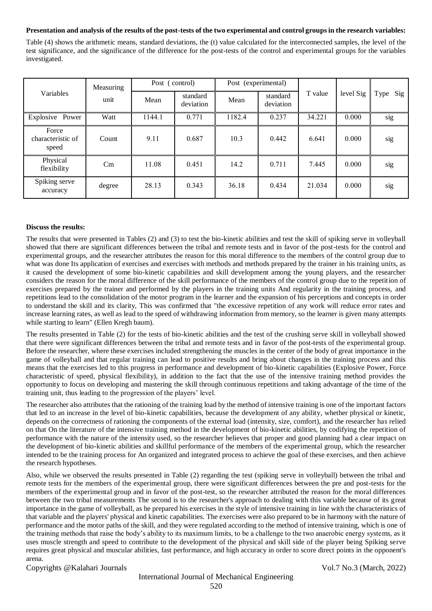## **Presentation and analysis of the results of the post-tests of the two experimental and control groups in the research variables:**

Table (4) shows the arithmetic means, standard deviations, the (t) value calculated for the interconnected samples, the level of the test significance, and the significance of the difference for the post-tests of the control and experimental groups for the variables investigated.

| Variables                           | Measuring<br>unit | Post (control) |                       | Post (experimental) |                       |         |           |          |
|-------------------------------------|-------------------|----------------|-----------------------|---------------------|-----------------------|---------|-----------|----------|
|                                     |                   | Mean           | standard<br>deviation | Mean                | standard<br>deviation | T value | level Sig | Type Sig |
| Explosive Power                     | Watt              | 1144.1         | 0.771                 | 1182.4              | 0.237                 | 34.221  | 0.000     | sig      |
| Force<br>characteristic of<br>speed | Count             | 9.11           | 0.687                 | 10.3                | 0.442                 | 6.641   | 0.000     | sig      |
| Physical<br>flexibility             | $\rm Cm$          | 11.08          | 0.451                 | 14.2                | 0.711                 | 7.445   | 0.000     | sig      |
| Spiking serve<br>accuracy           | degree            | 28.13          | 0.343                 | 36.18               | 0.434                 | 21.034  | 0.000     | sig      |

## **Discuss the results:**

The results that were presented in Tables (2) and (3) to test the bio-kinetic abilities and test the skill of spiking serve in volleyball showed that there are significant differences between the tribal and remote tests and in favor of the post-tests for the control and experimental groups, and the researcher attributes the reason for this moral difference to the members of the control group due to what was done Its application of exercises and exercises with methods and methods prepared by the trainer in his training units, as it caused the development of some bio-kinetic capabilities and skill development among the young players, and the researcher considers the reason for the moral difference of the skill performance of the members of the control group due to the repetition of exercises prepared by the trainer and performed by the players in the training units And regularity in the training process, and repetitions lead to the consolidation of the motor program in the learner and the expansion of his perceptions and concepts in order to understand the skill and its clarity, This was confirmed that "the excessive repetition of any work will reduce error rates and increase learning rates, as well as lead to the speed of withdrawing information from memory, so the learner is given many attempts while starting to learn" (Ellen Kregh baum).

The results presented in Table (2) for the tests of bio-kinetic abilities and the test of the crushing serve skill in volleyball showed that there were significant differences between the tribal and remote tests and in favor of the post-tests of the experimental group. Before the researcher, where these exercises included strengthening the muscles in the center of the body of great importance in the game of volleyball and that regular training can lead to positive results and bring about changes in the training process and this means that the exercises led to this progress in performance and development of bio-kinetic capabilities (Explosive Power, Force characteristic of speed, physical flexibility), in addition to the fact that the use of the intensive training method provides the opportunity to focus on developing and mastering the skill through continuous repetitions and taking advantage of the time of the training unit, thus leading to the progression of the players' level.

The researcher also attributes that the rationing of the training load by the method of intensive training is one of the important factors that led to an increase in the level of bio-kinetic capabilities, because the development of any ability, whether physical or kinetic, depends on the correctness of rationing the components of the external load (intensity, size, comfort), and the researcher has relied on that On the literature of the intensive training method in the development of bio-kinetic abilities, by codifying the repetition of performance with the nature of the intensity used, so the researcher believes that proper and good planning had a clear impact on the development of bio-kinetic abilities and skillful performance of the members of the experimental group, which the researcher intended to be the training process for An organized and integrated process to achieve the goal of these exercises, and then achieve the research hypotheses.

Also, while we observed the results presented in Table (2) regarding the test (spiking serve in volleyball) between the tribal and remote tests for the members of the experimental group, there were significant differences between the pre and post-tests for the members of the experimental group and in favor of the post-test, so the researcher attributed the reason for the moral differences between the two tribal measurements The second is to the researcher's approach to dealing with this variable because of its great importance in the game of volleyball, as he prepared his exercises in the style of intensive training in line with the characteristics of that variable and the players' physical and kinetic capabilities. The exercises were also prepared to be in harmony with the nature of performance and the motor paths of the skill, and they were regulated according to the method of intensive training, which is one of the training methods that raise the body's ability to its maximum limits, to be a challenge to the two anaerobic energy systems, as it uses muscle strength and speed to contribute to the development of the physical and skill side of the player being Spiking serve requires great physical and muscular abilities, fast performance, and high accuracy in order to score direct points in the opponent's arena.

Copyrights @Kalahari Journals Vol.7 No.3 (March, 2022)